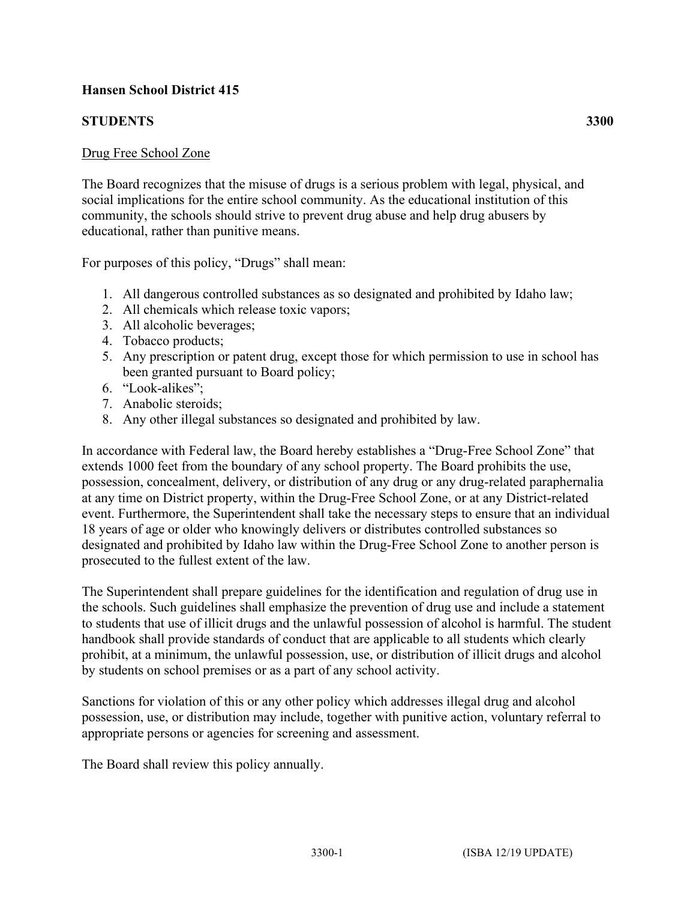## **Hansen School District 415**

## **STUDENTS 3300**

## Drug Free School Zone

The Board recognizes that the misuse of drugs is a serious problem with legal, physical, and social implications for the entire school community. As the educational institution of this community, the schools should strive to prevent drug abuse and help drug abusers by educational, rather than punitive means.

For purposes of this policy, "Drugs" shall mean:

- 1. All dangerous controlled substances as so designated and prohibited by Idaho law;
- 2. All chemicals which release toxic vapors;
- 3. All alcoholic beverages;
- 4. Tobacco products;
- 5. Any prescription or patent drug, except those for which permission to use in school has been granted pursuant to Board policy;
- 6. "Look-alikes";
- 7. Anabolic steroids;
- 8. Any other illegal substances so designated and prohibited by law.

In accordance with Federal law, the Board hereby establishes a "Drug-Free School Zone" that extends 1000 feet from the boundary of any school property. The Board prohibits the use, possession, concealment, delivery, or distribution of any drug or any drug-related paraphernalia at any time on District property, within the Drug-Free School Zone, or at any District-related event. Furthermore, the Superintendent shall take the necessary steps to ensure that an individual 18 years of age or older who knowingly delivers or distributes controlled substances so designated and prohibited by Idaho law within the Drug-Free School Zone to another person is prosecuted to the fullest extent of the law.

The Superintendent shall prepare guidelines for the identification and regulation of drug use in the schools. Such guidelines shall emphasize the prevention of drug use and include a statement to students that use of illicit drugs and the unlawful possession of alcohol is harmful. The student handbook shall provide standards of conduct that are applicable to all students which clearly prohibit, at a minimum, the unlawful possession, use, or distribution of illicit drugs and alcohol by students on school premises or as a part of any school activity.

Sanctions for violation of this or any other policy which addresses illegal drug and alcohol possession, use, or distribution may include, together with punitive action, voluntary referral to appropriate persons or agencies for screening and assessment.

The Board shall review this policy annually.